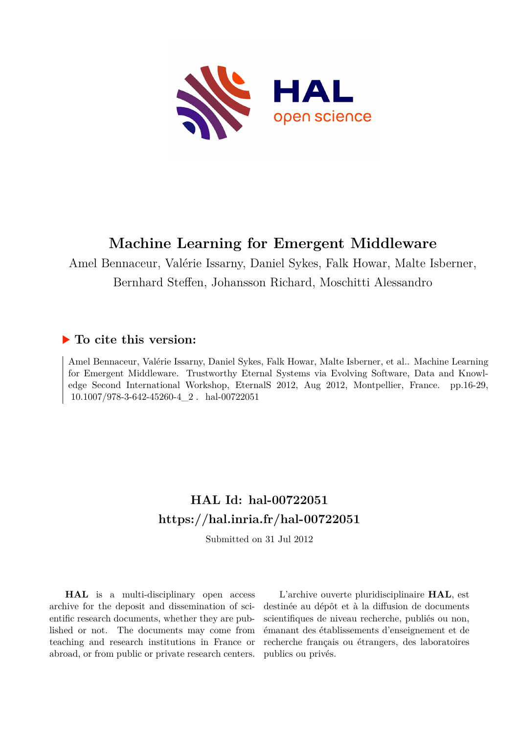

# **Machine Learning for Emergent Middleware**

Amel Bennaceur, Valérie Issarny, Daniel Sykes, Falk Howar, Malte Isberner, Bernhard Steffen, Johansson Richard, Moschitti Alessandro

# **To cite this version:**

Amel Bennaceur, Valérie Issarny, Daniel Sykes, Falk Howar, Malte Isberner, et al.. Machine Learning for Emergent Middleware. Trustworthy Eternal Systems via Evolving Software, Data and Knowledge Second International Workshop, EternalS 2012, Aug 2012, Montpellier, France. pp.16-29,  $10.1007/978-3-642-45260-4$  2. hal-00722051

# **HAL Id: hal-00722051 <https://hal.inria.fr/hal-00722051>**

Submitted on 31 Jul 2012

**HAL** is a multi-disciplinary open access archive for the deposit and dissemination of scientific research documents, whether they are published or not. The documents may come from teaching and research institutions in France or abroad, or from public or private research centers.

L'archive ouverte pluridisciplinaire **HAL**, est destinée au dépôt et à la diffusion de documents scientifiques de niveau recherche, publiés ou non, émanant des établissements d'enseignement et de recherche français ou étrangers, des laboratoires publics ou privés.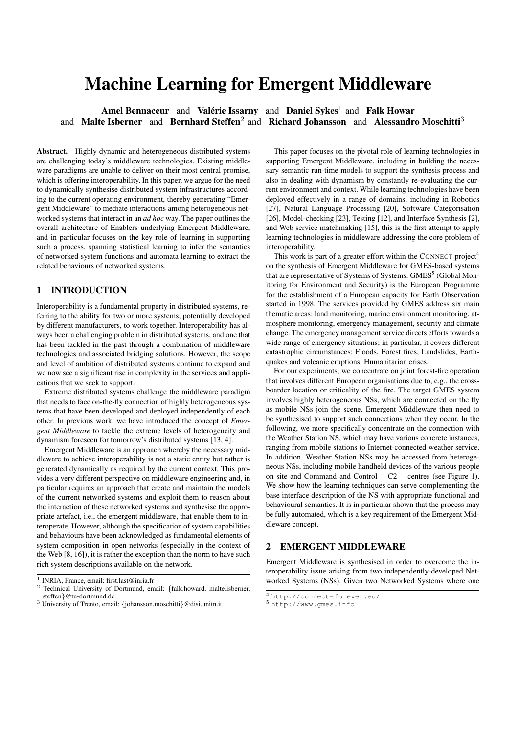# Machine Learning for Emergent Middleware

Amel Bennaceur and Valérie Issarny and Daniel Sykes<sup>1</sup> and Falk Howar and Malte Isberner and Bernhard Steffen<sup>2</sup> and Richard Johansson and Alessandro Moschitti<sup>3</sup>

Abstract. Highly dynamic and heterogeneous distributed systems are challenging today's middleware technologies. Existing middleware paradigms are unable to deliver on their most central promise, which is offering interoperability. In this paper, we argue for the need to dynamically synthesise distributed system infrastructures according to the current operating environment, thereby generating "Emergent Middleware" to mediate interactions among heterogeneous networked systems that interact in an *ad hoc* way. The paper outlines the overall architecture of Enablers underlying Emergent Middleware, and in particular focuses on the key role of learning in supporting such a process, spanning statistical learning to infer the semantics of networked system functions and automata learning to extract the related behaviours of networked systems.

# 1 INTRODUCTION

Interoperability is a fundamental property in distributed systems, referring to the ability for two or more systems, potentially developed by different manufacturers, to work together. Interoperability has always been a challenging problem in distributed systems, and one that has been tackled in the past through a combination of middleware technologies and associated bridging solutions. However, the scope and level of ambition of distributed systems continue to expand and we now see a significant rise in complexity in the services and applications that we seek to support.

Extreme distributed systems challenge the middleware paradigm that needs to face on-the-fly connection of highly heterogeneous systems that have been developed and deployed independently of each other. In previous work, we have introduced the concept of *Emergent Middleware* to tackle the extreme levels of heterogeneity and dynamism foreseen for tomorrow's distributed systems [13, 4].

Emergent Middleware is an approach whereby the necessary middleware to achieve interoperability is not a static entity but rather is generated dynamically as required by the current context. This provides a very different perspective on middleware engineering and, in particular requires an approach that create and maintain the models of the current networked systems and exploit them to reason about the interaction of these networked systems and synthesise the appropriate artefact, i.e., the emergent middleware, that enable them to interoperate. However, although the specification of system capabilities and behaviours have been acknowledged as fundamental elements of system composition in open networks (especially in the context of the Web [8, 16]), it is rather the exception than the norm to have such rich system descriptions available on the network.

This paper focuses on the pivotal role of learning technologies in supporting Emergent Middleware, including in building the necessary semantic run-time models to support the synthesis process and also in dealing with dynamism by constantly re-evaluating the current environment and context. While learning technologies have been deployed effectively in a range of domains, including in Robotics [27], Natural Language Processing [20], Software Categorisation [26], Model-checking [23], Testing [12], and Interface Synthesis [2], and Web service matchmaking [15], this is the first attempt to apply learning technologies in middleware addressing the core problem of interoperability.

This work is part of a greater effort within the CONNECT project<sup>4</sup> on the synthesis of Emergent Middleware for GMES-based systems that are representative of Systems of Systems. GMES<sup>5</sup> (Global Monitoring for Environment and Security) is the European Programme for the establishment of a European capacity for Earth Observation started in 1998. The services provided by GMES address six main thematic areas: land monitoring, marine environment monitoring, atmosphere monitoring, emergency management, security and climate change. The emergency management service directs efforts towards a wide range of emergency situations; in particular, it covers different catastrophic circumstances: Floods, Forest fires, Landslides, Earthquakes and volcanic eruptions, Humanitarian crises.

For our experiments, we concentrate on joint forest-fire operation that involves different European organisations due to, e.g., the crossboarder location or criticality of the fire. The target GMES system involves highly heterogeneous NSs, which are connected on the fly as mobile NSs join the scene. Emergent Middleware then need to be synthesised to support such connections when they occur. In the following, we more specifically concentrate on the connection with the Weather Station NS, which may have various concrete instances, ranging from mobile stations to Internet-connected weather service. In addition, Weather Station NSs may be accessed from heterogeneous NSs, including mobile handheld devices of the various people on site and Command and Control —C2— centres (see Figure 1). We show how the learning techniques can serve complementing the base interface description of the NS with appropriate functional and behavioural semantics. It is in particular shown that the process may be fully automated, which is a key requirement of the Emergent Middleware concept.

#### 2 EMERGENT MIDDLEWARE

Emergent Middleware is synthesised in order to overcome the interoperability issue arising from two independently-developed Networked Systems (NSs). Given two Networked Systems where one

<sup>1</sup> INRIA, France, email: first.last@inria.fr

<sup>2</sup> Technical University of Dortmund, email: {falk.howard, malte.isberner, steffen}@tu-dortmund.de

<sup>3</sup> University of Trento, email: {johansson,moschitti}@disi.unitn.it

<sup>4</sup> http://connect-forever.eu/

<sup>5</sup> http://www.gmes.info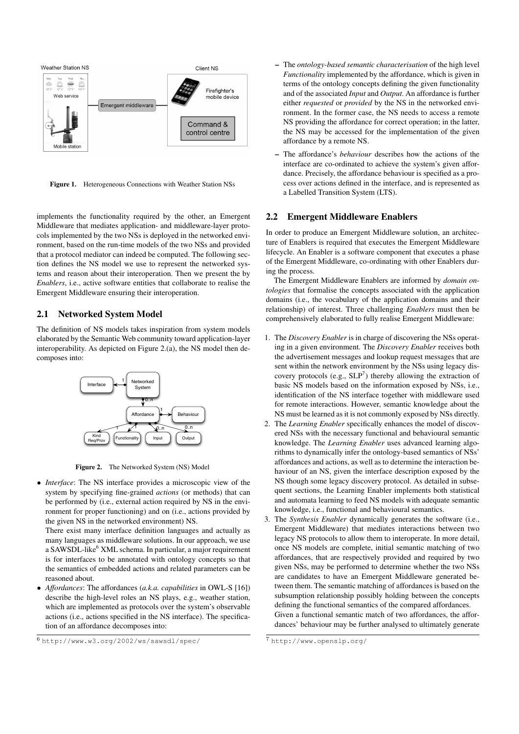

Figure 1. Heterogeneous Connections with Weather Station NSs

implements the functionality required by the other, an Emergent Middleware that mediates application- and middleware-layer protocols implemented by the two NSs is deployed in the networked environment, based on the run-time models of the two NSs and provided that a protocol mediator can indeed be computed. The following section defines the NS model we use to represent the networked systems and reason about their interoperation. Then we present the by *Enablers*, i.e., active software entities that collaborate to realise the Emergent Middleware ensuring their interoperation.

#### 2.1 Networked System Model

The definition of NS models takes inspiration from system models elaborated by the Semantic Web community toward application-layer interoperability. As depicted on Figure 2.(a), the NS model then decomposes into:



Figure 2. The Networked System (NS) Model

• *Interface*: The NS interface provides a microscopic view of the system by specifying fine-grained *actions* (or methods) that can be performed by (i.e., external action required by NS in the environment for proper functioning) and on (i.e., actions provided by the given NS in the networked environment) NS.

There exist many interface definition languages and actually as many languages as middleware solutions. In our approach, we use a SAWSDL-like<sup>6</sup> XML schema. In particular, a major requirement is for interfaces to be annotated with ontology concepts so that the semantics of embedded actions and related parameters can be reasoned about.

• *Affordances*: The affordances (*a.k.a. capabilities* in OWL-S [16]) describe the high-level roles an NS plays, e.g., weather station, which are implemented as protocols over the system's observable actions (i.e., actions specified in the NS interface). The specification of an affordance decomposes into:



- The *ontology-based semantic characterisation* of the high level *Functionality* implemented by the affordance, which is given in terms of the ontology concepts defining the given functionality and of the associated *Input* and *Output*. An affordance is further either *requested* or *provided* by the NS in the networked environment. In the former case, the NS needs to access a remote NS providing the affordance for correct operation; in the latter, the NS may be accessed for the implementation of the given affordance by a remote NS.
- The affordance's *behaviour* describes how the actions of the interface are co-ordinated to achieve the system's given affordance. Precisely, the affordance behaviour is specified as a process over actions defined in the interface, and is represented as a Labelled Transition System (LTS).

#### 2.2 Emergent Middleware Enablers

In order to produce an Emergent Middleware solution, an architecture of Enablers is required that executes the Emergent Middleware lifecycle. An Enabler is a software component that executes a phase of the Emergent Middleware, co-ordinating with other Enablers during the process.

The Emergent Middleware Enablers are informed by *domain ontologies* that formalise the concepts associated with the application domains (i.e., the vocabulary of the application domains and their relationship) of interest. Three challenging *Enablers* must then be comprehensively elaborated to fully realise Emergent Middleware:

- 1. The *Discovery Enabler* is in charge of discovering the NSs operating in a given environment. The *Discovery Enabler* receives both the advertisement messages and lookup request messages that are sent within the network environment by the NSs using legacy discovery protocols (e.g.,  $SLP<sup>7</sup>$ ) thereby allowing the extraction of basic NS models based on the information exposed by NSs, i.e., identification of the NS interface together with middleware used for remote interactions. However, semantic knowledge about the NS must be learned as it is not commonly exposed by NSs directly.
- 2. The *Learning Enabler* specifically enhances the model of discovered NSs with the necessary functional and behavioural semantic knowledge. The *Learning Enabler* uses advanced learning algorithms to dynamically infer the ontology-based semantics of NSs' affordances and actions, as well as to determine the interaction behaviour of an NS, given the interface description exposed by the NS though some legacy discovery protocol. As detailed in subsequent sections, the Learning Enabler implements both statistical and automata learning to feed NS models with adequate semantic knowledge, i.e., functional and behavioural semantics.
- 3. The *Synthesis Enabler* dynamically generates the software (i.e., Emergent Middleware) that mediates interactions between two legacy NS protocols to allow them to interoperate. In more detail, once NS models are complete, initial semantic matching of two affordances, that are respectively provided and required by two given NSs, may be performed to determine whether the two NSs are candidates to have an Emergent Middleware generated between them. The semantic matching of affordances is based on the subsumption relationship possibly holding between the concepts defining the functional semantics of the compared affordances. Given a functional semantic match of two affordances, the affordances' behaviour may be further analysed to ultimately generate

<sup>7</sup> http://www.openslp.org/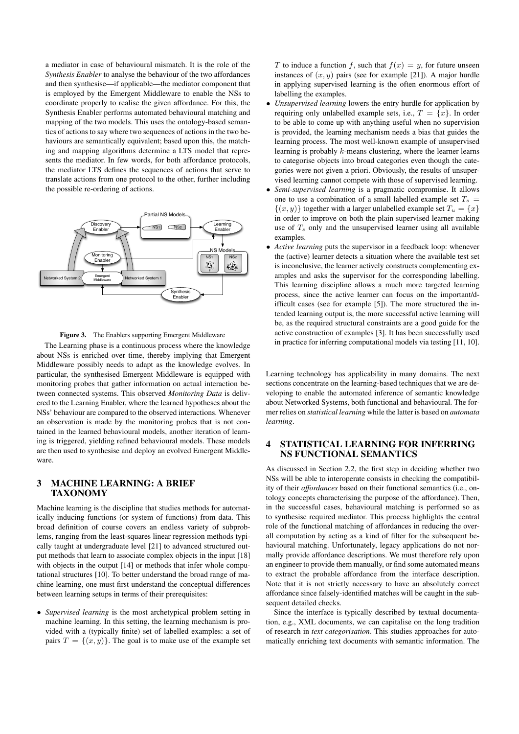a mediator in case of behavioural mismatch. It is the role of the *Synthesis Enabler* to analyse the behaviour of the two affordances and then synthesise—if applicable—the mediator component that is employed by the Emergent Middleware to enable the NSs to coordinate properly to realise the given affordance. For this, the Synthesis Enabler performs automated behavioural matching and mapping of the two models. This uses the ontology-based semantics of actions to say where two sequences of actions in the two behaviours are semantically equivalent; based upon this, the matching and mapping algorithms determine a LTS model that represents the mediator. In few words, for both affordance protocols, the mediator LTS defines the sequences of actions that serve to translate actions from one protocol to the other, further including the possible re-ordering of actions.





The Learning phase is a continuous process where the knowledge about NSs is enriched over time, thereby implying that Emergent Middleware possibly needs to adapt as the knowledge evolves. In particular, the synthesised Emergent Middleware is equipped with monitoring probes that gather information on actual interaction between connected systems. This observed *Monitoring Data* is delivered to the Learning Enabler, where the learned hypotheses about the NSs' behaviour are compared to the observed interactions. Whenever an observation is made by the monitoring probes that is not contained in the learned behavioural models, another iteration of learning is triggered, yielding refined behavioural models. These models are then used to synthesise and deploy an evolved Emergent Middleware.

#### 3 MACHINE LEARNING: A BRIEF **TAXONOMY**

Machine learning is the discipline that studies methods for automatically inducing functions (or system of functions) from data. This broad definition of course covers an endless variety of subproblems, ranging from the least-squares linear regression methods typically taught at undergraduate level [21] to advanced structured output methods that learn to associate complex objects in the input [18] with objects in the output [14] or methods that infer whole computational structures [10]. To better understand the broad range of machine learning, one must first understand the conceptual differences between learning setups in terms of their prerequisites:

• *Supervised learning* is the most archetypical problem setting in machine learning. In this setting, the learning mechanism is provided with a (typically finite) set of labelled examples: a set of pairs  $T = \{(x, y)\}\.$  The goal is to make use of the example set T to induce a function f, such that  $f(x) = y$ , for future unseen instances of  $(x, y)$  pairs (see for example [21]). A major hurdle in applying supervised learning is the often enormous effort of labelling the examples.

- *Unsupervised learning* lowers the entry hurdle for application by requiring only unlabelled example sets, i.e.,  $T = \{x\}$ . In order to be able to come up with anything useful when no supervision is provided, the learning mechanism needs a bias that guides the learning process. The most well-known example of unsupervised learning is probably k-means clustering, where the learner learns to categorise objects into broad categories even though the categories were not given a priori. Obviously, the results of unsupervised learning cannot compete with those of supervised learning.
- *Semi-supervised learning* is a pragmatic compromise. It allows one to use a combination of a small labelled example set  $T_s$  =  $\{(x, y)\}\)$  together with a larger unlabelled example set  $T_u = \{x\}$ in order to improve on both the plain supervised learner making use of  $T_s$  only and the unsupervised learner using all available examples.
- *Active learning* puts the supervisor in a feedback loop: whenever the (active) learner detects a situation where the available test set is inconclusive, the learner actively constructs complementing examples and asks the supervisor for the corresponding labelling. This learning discipline allows a much more targeted learning process, since the active learner can focus on the important/difficult cases (see for example [5]). The more structured the intended learning output is, the more successful active learning will be, as the required structural constraints are a good guide for the active construction of examples [3]. It has been successfully used in practice for inferring computational models via testing [11, 10].

Learning technology has applicability in many domains. The next sections concentrate on the learning-based techniques that we are developing to enable the automated inference of semantic knowledge about Networked Systems, both functional and behavioural. The former relies on *statistical learning* while the latter is based on *automata learning*.

### 4 STATISTICAL LEARNING FOR INFERRING NS FUNCTIONAL SEMANTICS

As discussed in Section 2.2, the first step in deciding whether two NSs will be able to interoperate consists in checking the compatibility of their *affordances* based on their functional semantics (i.e., ontology concepts characterising the purpose of the affordance). Then, in the successful cases, behavioural matching is performed so as to synthesise required mediator. This process highlights the central role of the functional matching of affordances in reducing the overall computation by acting as a kind of filter for the subsequent behavioural matching. Unfortunately, legacy applications do not normally provide affordance descriptions. We must therefore rely upon an engineer to provide them manually, or find some automated means to extract the probable affordance from the interface description. Note that it is not strictly necessary to have an absolutely correct affordance since falsely-identified matches will be caught in the subsequent detailed checks.

Since the interface is typically described by textual documentation, e.g., XML documents, we can capitalise on the long tradition of research in *text categorisation*. This studies approaches for automatically enriching text documents with semantic information. The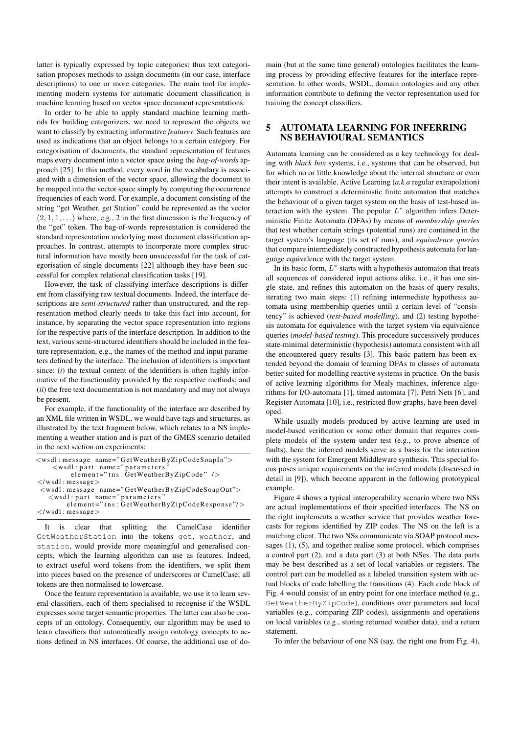latter is typically expressed by topic categories: thus text categorisation proposes methods to assign documents (in our case, interface descriptions) to one or more categories. The main tool for implementing modern systems for automatic document classification is machine learning based on vector space document representations.

In order to be able to apply standard machine learning methods for building categorizers, we need to represent the objects we want to classify by extracting informative *features*. Such features are used as indications that an object belongs to a certain category. For categorisation of documents, the standard representation of features maps every document into a vector space using the *bag-of-words* approach [25]. In this method, every word in the vocabulary is associated with a dimension of the vector space, allowing the document to be mapped into the vector space simply by computing the occurrence frequencies of each word. For example, a document consisting of the string "get Weather, get Station" could be represented as the vector  $(2, 1, 1, ...)$  where, e.g., 2 in the first dimension is the frequency of the "get" token. The bag-of-words representation is considered the standard representation underlying most document classification approaches. In contrast, attempts to incorporate more complex structural information have mostly been unsuccessful for the task of categorisation of single documents [22] although they have been successful for complex relational classification tasks [19].

However, the task of classifying interface descriptions is different from classifying raw textual documents. Indeed, the interface descriptions are *semi-structured* rather than unstructured, and the representation method clearly needs to take this fact into account, for instance, by separating the vector space representation into regions for the respective parts of the interface description. In addition to the text, various semi-structured identifiers should be included in the feature representation, e.g., the names of the method and input parameters defined by the interface. The inclusion of identifiers is important since: (*i*) the textual content of the identifiers is often highly informative of the functionality provided by the respective methods; and (*ii*) the free text documentation is not mandatory and may not always be present.

For example, if the functionality of the interface are described by an XML file written in WSDL, we would have tags and structures, as illustrated by the text fragment below, which relates to a NS implementing a weather station and is part of the GMES scenario detailed in the next section on experiments:

```
\overline{\left\langle \text{wsd}\right|}: message name="GetWeatherByZipCodeSoapIn">
     \ltwsdl : part name=" parameters
          element="tns:\text{GetWeatherByZipCode}" />
\langle/wsdl: message>
 <wsdl: message name="GetWeatherByZipCodeSoapOut">
   \ltwsdl : part name="parameters
         elements: GetWeatherByZipCodeResponse"/>
\langle/wsdl: message\rangle
```
It is clear that splitting the CamelCase identifier GetWeatherStation into the tokens get, weather, and station, would provide more meaningful and generalised concepts, which the learning algorithm can use as features. Indeed, to extract useful word tokens from the identifiers, we split them into pieces based on the presence of underscores or CamelCase; all tokens are then normalised to lowercase.

Once the feature representation is available, we use it to learn several classifiers, each of them specialised to recognise if the WSDL expresses some target semantic properties. The latter can also be concepts of an ontology. Consequently, our algorithm may be used to learn classifiers that automatically assign ontology concepts to actions defined in NS interfaces. Of course, the additional use of domain (but at the same time general) ontologies facilitates the learning process by providing effective features for the interface representation. In other words, WSDL, domain ontologies and any other information contribute to defining the vector representation used for training the concept classifiers.

### 5 AUTOMATA LEARNING FOR INFERRING NS BEHAVIOURAL SEMANTICS

Automata learning can be considered as a key technology for dealing with *black box* systems, i.e., systems that can be observed, but for which no or little knowledge about the internal structure or even their intent is available. Active Learning (*a.k.a* regular extrapolation) attempts to construct a deterministic finite automaton that matches the behaviour of a given target system on the basis of test-based interaction with the system. The popular  $L^*$  algorithm infers Deterministic Finite Automata (DFAs) by means of *membership queries* that test whether certain strings (potential runs) are contained in the target system's language (its set of runs), and *equivalence queries* that compare intermediately constructed hypothesis automata for language equivalence with the target system.

In its basic form,  $L^*$  starts with a hypothesis automaton that treats all sequences of considered input actions alike, i.e., it has one single state, and refines this automaton on the basis of query results, iterating two main steps: (1) refining intermediate hypothesis automata using membership queries until a certain level of "consistency" is achieved (*test-based modelling*), and (2) testing hypothesis automata for equivalence with the target system via equivalence queries (*model-based testing*). This procedure successively produces state-minimal deterministic (hypothesis) automata consistent with all the encountered query results [3]. This basic pattern has been extended beyond the domain of learning DFAs to classes of automata better suited for modelling reactive systems in practice. On the basis of active learning algorithms for Mealy machines, inference algorithms for I/O-automata [1], timed automata [7], Petri Nets [6], and Register Automata [10], i.e., restricted flow graphs, have been developed.

While usually models produced by active learning are used in model-based verification or some other domain that requires complete models of the system under test (e.g., to prove absence of faults), here the inferred models serve as a basis for the interaction with the system for Emergent Middleware synthesis. This special focus poses unique requirements on the inferred models (discussed in detail in [9]), which become apparent in the following prototypical example.

Figure 4 shows a typical interoperability scenario where two NSs are actual implementations of their specified interfaces. The NS on the right implements a weather service that provides weather forecasts for regions identified by ZIP codes. The NS on the left is a matching client. The two NSs communicate via SOAP protocol messages (1), (5), and together realise some protocol, which comprises a control part (2), and a data part (3) at both NSes. The data parts may be best described as a set of local variables or registers. The control part can be modelled as a labeled transition system with actual blocks of code labelling the transitions (4). Each code block of Fig. 4 would consist of an entry point for one interface method (e.g., GetWeatherByZipCode), conditions over parameters and local variables (e.g., comparing ZIP codes), assignments and operations on local variables (e.g., storing returned weather data), and a return statement.

To infer the behaviour of one NS (say, the right one from Fig. 4),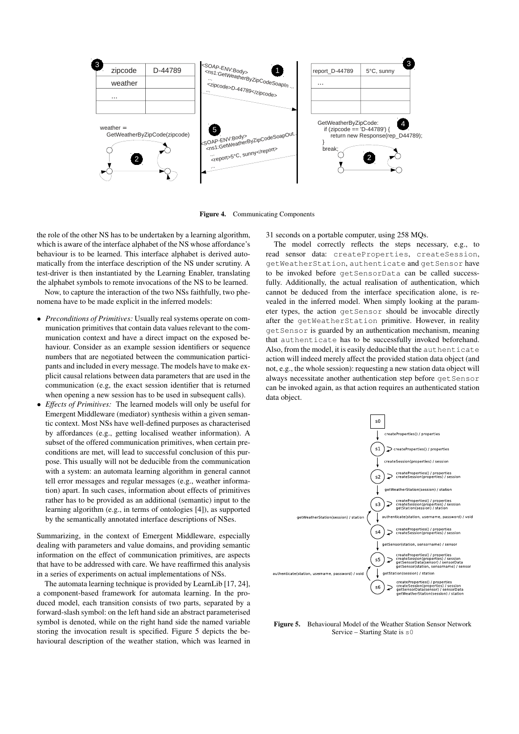

Figure 4. Communicating Components

the role of the other NS has to be undertaken by a learning algorithm, which is aware of the interface alphabet of the NS whose affordance's behaviour is to be learned. This interface alphabet is derived automatically from the interface description of the NS under scrutiny. A test-driver is then instantiated by the Learning Enabler, translating the alphabet symbols to remote invocations of the NS to be learned.

Now, to capture the interaction of the two NSs faithfully, two phenomena have to be made explicit in the inferred models:

- *Preconditions of Primitives:* Usually real systems operate on communication primitives that contain data values relevant to the communication context and have a direct impact on the exposed behaviour. Consider as an example session identifiers or sequence numbers that are negotiated between the communication participants and included in every message. The models have to make explicit causal relations between data parameters that are used in the communication (e.g, the exact session identifier that is returned when opening a new session has to be used in subsequent calls).
- *Effects of Primitives:* The learned models will only be useful for Emergent Middleware (mediator) synthesis within a given semantic context. Most NSs have well-defined purposes as characterised by affordances (e.g., getting localised weather information). A subset of the offered communication primitives, when certain preconditions are met, will lead to successful conclusion of this purpose. This usually will not be deducible from the communication with a system: an automata learning algorithm in general cannot tell error messages and regular messages (e.g., weather information) apart. In such cases, information about effects of primitives rather has to be provided as an additional (semantic) input to the learning algorithm (e.g., in terms of ontologies [4]), as supported by the semantically annotated interface descriptions of NSes.

Summarizing, in the context of Emergent Middleware, especially dealing with parameters and value domains, and providing semantic information on the effect of communication primitives, are aspects that have to be addressed with care. We have reaffirmed this analysis in a series of experiments on actual implementations of NSs.

The automata learning technique is provided by LearnLib [17, 24], a component-based framework for automata learning. In the produced model, each transition consists of two parts, separated by a forward-slash symbol: on the left hand side an abstract parameterised symbol is denoted, while on the right hand side the named variable storing the invocation result is specified. Figure 5 depicts the behavioural description of the weather station, which was learned in 31 seconds on a portable computer, using 258 MQs.

The model correctly reflects the steps necessary, e.g., to read sensor data: createProperties, createSession, getWeatherStation, authenticate and getSensor have to be invoked before getSensorData can be called successfully. Additionally, the actual realisation of authentication, which cannot be deduced from the interface specification alone, is revealed in the inferred model. When simply looking at the parameter types, the action getSensor should be invocable directly after the getWeatherStation primitive. However, in reality getSensor is guarded by an authentication mechanism, meaning that authenticate has to be successfully invoked beforehand. Also, from the model, it is easily deducible that the authenticate action will indeed merely affect the provided station data object (and not, e.g., the whole session): requesting a new station data object will always necessitate another authentication step before getSensor can be invoked again, as that action requires an authenticated station data object.



Figure 5. Behavioural Model of the Weather Station Sensor Network Service – Starting State is s0